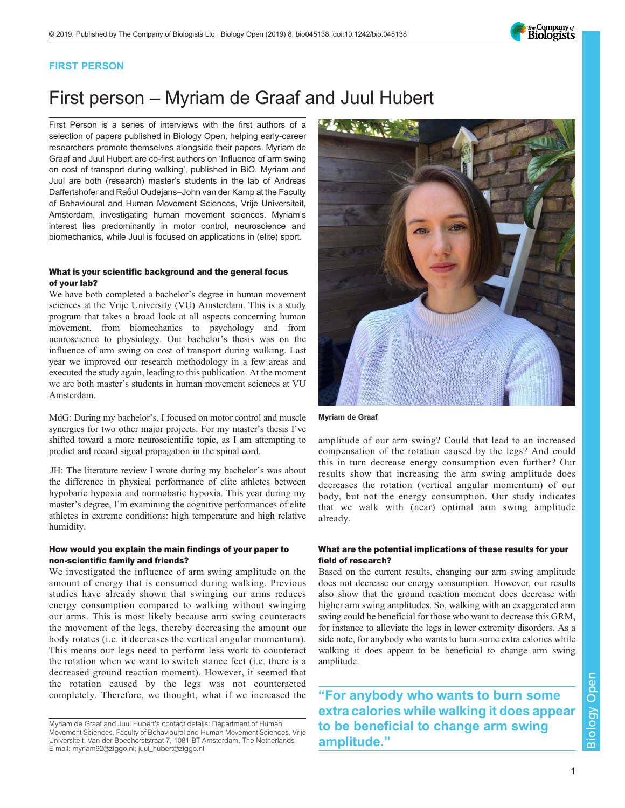

## FIRST PERSON

# First person – Myriam de Graaf and Juul Hubert

First Person is a series of interviews with the first authors of a selection of papers published in Biology Open, helping early-career researchers promote themselves alongside their papers. Myriam de Graaf and Juul Hubert are co-first authors on '[Influence of arm swing](#page-1-0) [on cost of transport during walking](#page-1-0)', published in BiO. Myriam and Juul are both (research) master's students in the lab of Andreas Daffertshofer and Raôul Oudejans–John van der Kamp at the Faculty of Behavioural and Human Movement Sciences, Vrije Universiteit, Amsterdam, investigating human movement sciences. Myriam's interest lies predominantly in motor control, neuroscience and biomechanics, while Juul is focused on applications in (elite) sport.

### What is your scientific background and the general focus of your lab?

We have both completed a bachelor's degree in human movement sciences at the Vrije University (VU) Amsterdam. This is a study program that takes a broad look at all aspects concerning human movement, from biomechanics to psychology and from neuroscience to physiology. Our bachelor's thesis was on the influence of arm swing on cost of transport during walking. Last year we improved our research methodology in a few areas and executed the study again, leading to this publication. At the moment we are both master's students in human movement sciences at VU Amsterdam.

MdG: During my bachelor's, I focused on motor control and muscle synergies for two other major projects. For my master's thesis I've shifted toward a more neuroscientific topic, as I am attempting to predict and record signal propagation in the spinal cord.

JH: The literature review I wrote during my bachelor's was about the difference in physical performance of elite athletes between hypobaric hypoxia and normobaric hypoxia. This year during my master's degree, I'm examining the cognitive performances of elite athletes in extreme conditions: high temperature and high relative humidity.

## How would you explain the main findings of your paper to non-scientific family and friends?

We investigated the influence of arm swing amplitude on the amount of energy that is consumed during walking. Previous studies have already shown that swinging our arms reduces energy consumption compared to walking without swinging our arms. This is most likely because arm swing counteracts the movement of the legs, thereby decreasing the amount our body rotates (i.e. it decreases the vertical angular momentum). This means our legs need to perform less work to counteract the rotation when we want to switch stance feet (i.e. there is a decreased ground reaction moment). However, it seemed that the rotation caused by the legs was not counteracted completely. Therefore, we thought, what if we increased the



Myriam de Graaf

amplitude of our arm swing? Could that lead to an increased compensation of the rotation caused by the legs? And could this in turn decrease energy consumption even further? Our results show that increasing the arm swing amplitude does decreases the rotation (vertical angular momentum) of our body, but not the energy consumption. Our study indicates that we walk with (near) optimal arm swing amplitude already.

## What are the potential implications of these results for your field of research?

Based on the current results, changing our arm swing amplitude does not decrease our energy consumption. However, our results also show that the ground reaction moment does decrease with higher arm swing amplitudes. So, walking with an exaggerated arm swing could be beneficial for those who want to decrease this GRM, for instance to alleviate the legs in lower extremity disorders. As a side note, for anybody who wants to burn some extra calories while walking it does appear to be beneficial to change arm swing amplitude.

"For anybody who wants to burn some extra calories while walking it does appear to be beneficial to change arm swing amplitude."

Myriam de Graaf and Juul Hubert's contact details: Department of Human Movement Sciences, Faculty of Behavioural and Human Movement Sciences, Vrije Universiteit, Van der Boechorststraat 7, 1081 BT Amsterdam, The Netherlands E-mail: [myriam92@ziggo.nl;](mailto:myriam92@ziggo.nl) [juul\\_hubert@ziggo.nl](mailto:juul_hubert@ziggo.nl)